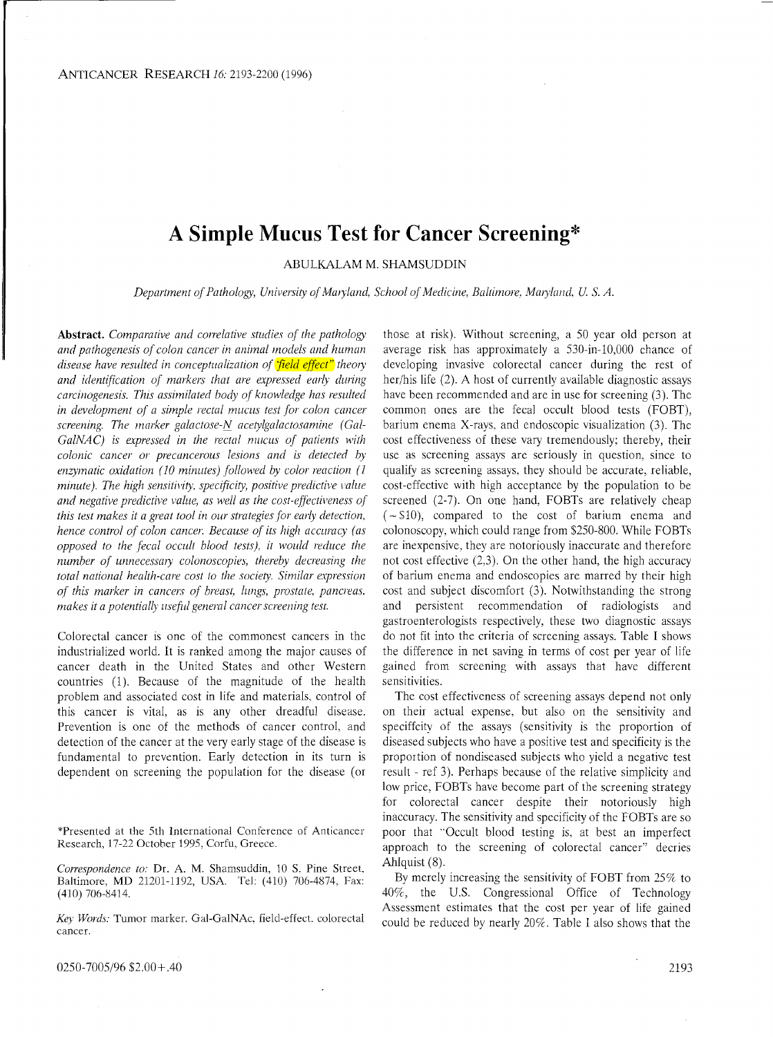## **A Simple Mucus Test for Cancer Screening\***

ABULKALAM M. SHAMSUDDIN

*Department of Pathology, University of Maryland, School of Medicine, Baltimore, Maryland, U. S. A.* 

Abstract. Comparative and correlative studies of the pathology and pathogenesis of colon cancer in animal models and human *disease have resulted in conceptualization of field effect theory* and identification of markers that are expressed early during *carcinogenesis. This assimilated body of knowledge has resulted in development of a simple rectal mucus test for colon cancer* screening. The *marker galactose-N* acetylgalactosamine (Gal-*GalNAC*) is expressed in the rectal mucus of patients with *colonic cancer or precancerous lesions and is detected by* enzymatic oxidation (10 minutes) followed by color reaction (1 *minute*). The high sensitivity, specificity, positive predictive value and negative predictive value, as well as the cost-effectiveness of *this test makes it a great tool in our strategies for early detection, hence control of colon cancer. Because of its high accuracy (as opposed to the fecal occl~ili blood test.^), ir woilld reduce the*  number of unnecessary colonoscopies, thereby decreasing the *total national health-care cost to the society. Similar expression of this marker in cancers of breast, lungs, prostate, pancreas. makes it a potentially useful general cancer screening test.* 

Colorectal cancer is one of the commonest cancers in the industrialized world. It is ranked among the major causes of cancer death in the United States and other Western countries (1). Because of the magnitude of the health problem and associated cost in life and materials. control of this cancer is vital, as is any other dreadful disease. Prevention is one of the methods of cancer control, and detection of the cancer at the very early stage of the disease is fundamental to prevention. Early detection in its turn is dependent on screening the population for the disease (or

\*Presented at the 5th International Conference of Anticancer Research, 17-22 October 1995, Corfu, Greece.

*Col~espondence to:* Dr. A. M. Shamsuddin, 10 S. Pine Street. Baltimore, MD 21201-1192, USA. Tel: (410) 706-4874, Fax: (410) 706-8414.

*Key Il/oizlx* Tumor marker, Gal-GalNAc. field-effect. colorectal cancer.

0250-7005/96 \$2.00+.40

those at risk). Without screening, a 50 year old person at average risk has approximately a 530-in-10,000 chance of developing invasive colorectal cancer during the rest of her/his life (2). A host of currently available diagnostic assays have been recommended and are in use for screening (3). The common ones are the fecal occult blood tests (FOBT), barium enema X-rays, and endoscopic visualization (3). The cost effectiveness of these vary tremendously; thereby, their use as screening assays are seriously in question, since to qualify as screening assays. they should be accurate, reliable, cost-effective with high acceptance by the population to be screened (2-7). On one hand, FOBTs are relatively cheap  $(-\$10)$ , compared to the cost of barium enema and colonoscopy, which could range from \$250-800. While FOBTs are inexpensive, they are notoriously inaccurate and therefore not cost effective (2.3). On the other hand, the high accuracy of barium enema and endoscopies are marred by their high cost and subject discomfort (3). Notwithstanding the strong and persistent recommendation of radiologists and gastroenterologists respectively, these two diagnostic assays do not fit into the criteria of screening assays. Table I shows the difference in net saving in terms of cost per year of life gained from screening with assays that have different sensitivities.

The cost effectiveness of screening assays depend not only on their actual expense, but also on the sensitivity and speciffcity of the assays (sensitivity is the proportion of diseased subjects who have a positive test and specificity is the proportion of nondiseased subjects who yield a negative test result - ref 3). Perhaps because of the relative simplicity and low price, FOBTs have become part of the screening strategy for colorectal cancer despite their notoriously high inaccuracy. The sensitivity and specificity of the FOBTs are so poor that "Occult blood testing is, at best an imperfect approach to the screening of colorectal cancer" decries Ahlquist (8).

By merely increasing the sensitivity of FOBT from 25% to 40R, the U.S. Congressional Office of Technology Assessment estimates that the cost per year of life gained could be reduced by nearly 20%. Table I also shows that the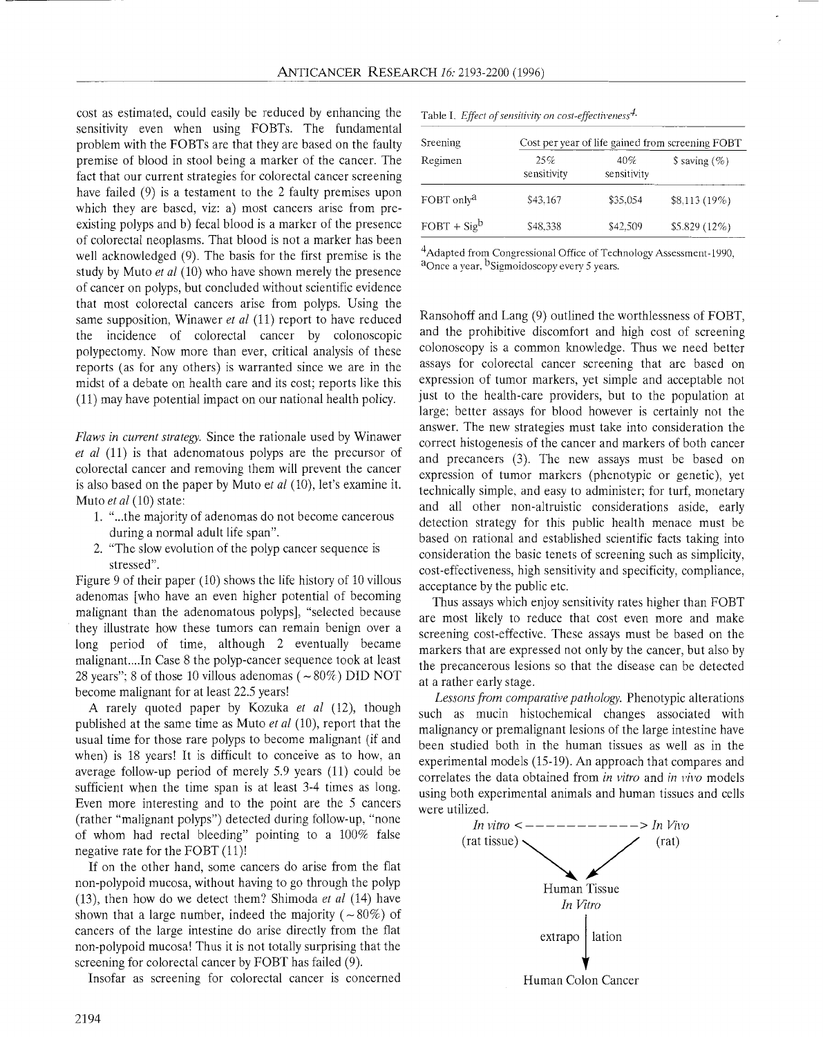cost as estimated, could easily be reduced by enhancing the sensitivity even when using FOBTs. The fundamental problem with the FOBTs are that they are based on the faulty premise of blood in stool being a marker of the cancer. The fact that our current strategies for colorectal cancer screening have failed (9) is a testament to the 2 faulty premises upon which they are based, viz: a) most cancers arise from preexisting polyps and b) fecal blood is a marker of the presence of colorectal neoplasms. That blood is not a marker has been well acknowledged (9). The basis for the first premise is the study by Muto *et a1* (10) who have shown merely the presence of cancer on polyps, but concluded without scientific evidence that most colorectal cancers arise from polyps. Using the same supposition, Winawer *et al* (11) report to have reduced the incidence of colorectal cancer by colonoscopic polypectomy. Now more than ever, critical analysis of these reports (as for any others) is warranted since we are in the midst of a debate on health care and its cost; reports like this (11) may have potential impact on our national health policy.

*Flaws in current strategy.* Since the rationale used by Winawer *et a1* (11) is that adenomatous polyps are the precursor of colorectal cancer and removing them will prevent the cancer is also based on the paper by Muto et *al* (10), let's examine it. Muto *et al* (10) state:

- 1. "...the majority of adenomas do not become cancerous during a normal adult life span".
- 2. "The slow evolution of the polyp cancer sequence is stressed".

Figure 9 of their paper (10) shows the life history of 10 villous adenomas [who have an even higher potential of becoming malignant than the adenomatous polyps], "selected because they illustrate how these tumors can remain benign over a long period of time, although 2 eventually became malignant....In Case 8 the polyp-cancer sequence took at least 28 years"; 8 of those 10 villous adenomas ( $\sim$ 80%) DID NOT become malignant for at least 22.5 years!

A rarely quoted paper by Kozuka *et a1* (12), though published at the same time as Muto *et al* (10), report that the usual time for those rare polyps to become malignant (if and when) is 18 years! It is difficult to conceive as to how, an average follow-up period of merely 5.9 years (11) could be sufficient when the time span is at least 3-4 times as long. Even more interesting and to the point are the 5 cancers (rather "malignant polyps") detected during follow-up. "none of whom had rectal bleeding" pointing to a 100% false negative rate for the FOBT (11)!

If on the other hand, some cancers do arise from the flat non-polypoid mucosa, without having to go through the polyp (13), then how do we detect them? Shimoda *et nl* (14) have shown that a large number, indeed the majority ( $\sim 80\%$ ) of cancers of the large intestine do arise directly from the flat non-polypoid mucosa! Thus it is not totally surprising that the screening for colorectal cancer by FOBT has failed (9).

Insofar as screening for colorectal cancer is concerned

| Sreening<br>Regimen    | Cost per year of life gained from screening FOBT |                    |                   |  |  |  |  |
|------------------------|--------------------------------------------------|--------------------|-------------------|--|--|--|--|
|                        | 25%<br>sensitivity                               | 40%<br>sensitivity | $$$ saving $(\%)$ |  |  |  |  |
| FOBT only <sup>a</sup> | \$43.167                                         | \$35.054           | \$8,113(19%)      |  |  |  |  |
| $FOBT + Sig^b$         | \$48,338                                         | \$42.509           | $$5.829(12\%)$    |  |  |  |  |

Table I. *Effect of sensitivity on cost-effectiveness<sup>4</sup>*.

<sup>4</sup>Adapted from Congressional Office of Technology Assessment-1990, <sup>a</sup>Once a year, <sup>b</sup>Sigmoidoscopy every 5 years.

Ransohoff and Lang (9) outlined the worthlessness of FOBT, and the prohibitive discomfort and high cost of screening colonoscopy is a common knowledge. Thus we need better assays for colorectal cancer screening that are based on expression of tumor markers, yet simple and acceptable not just to the health-care providers, but to the population at large; better assays for blood however is certainly not the answer. The new strategies must take into consideration the correct histogenesis of the cancer and markers of both cancer and precancers (3). The new assays must be based on expression of tumor markers (phenotypic or genetic), yet technically simple. and easy to administer; for turf, monetary and all other non-altruistic considerations aside, early detection strategy for this public health menace must be based on rational and established scientific facts taking into consideration the basic tenets of screening such as simplicity, cost-effectiveness, high sensitivity and specificity, compliance, acceptance by the public etc.

Thus assays which enjoy sensitivity rates higher than FOBT are most likely to reduce that cost even more and make screening cost-effective. These assays must be based on the markers that are expressed not only by the cancer, but also by the precancerous lesions so that the disease can be detected at a rather early stage.

Lessons from comparative pathology. Phenotypic alterations such as mucin histochemical changes associated with malignancy or premalignant lesions of the large intestine have been studied both in the human tissues as well as in the experimental models (15-19). An approach that compares and correlates the data obtained from *in vitro* and *in vivo* models using both experimental animals and human tissues and cells were utilized.

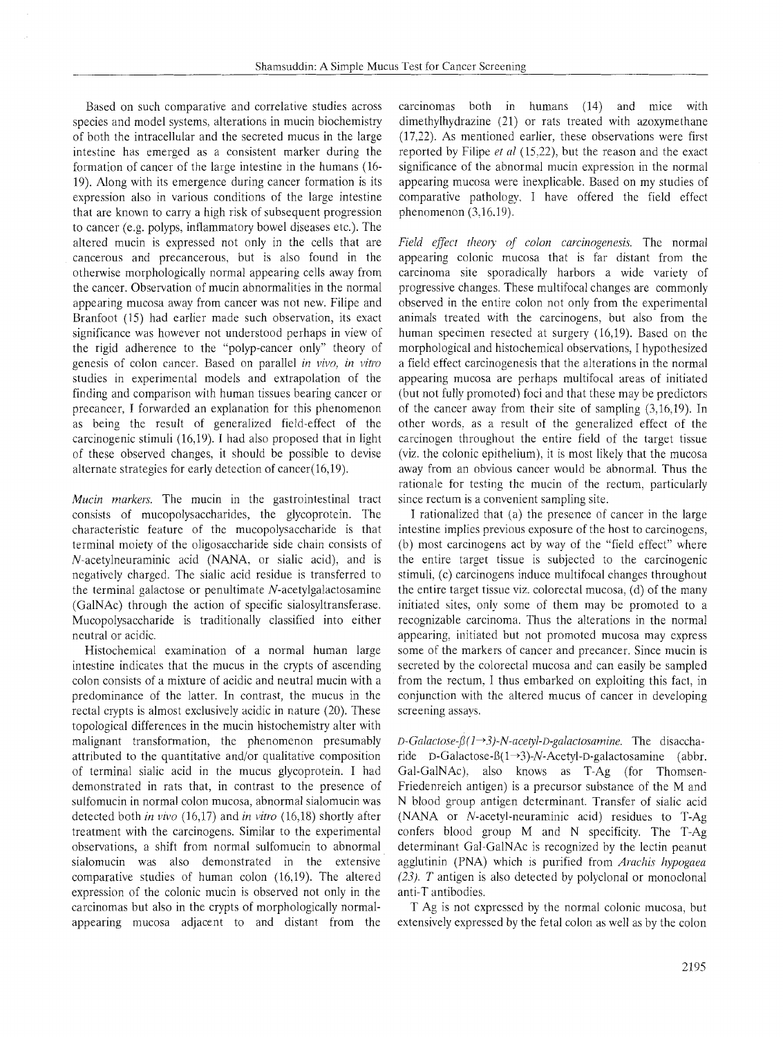Based on such comparative and correlative studies across species and model systems, alterations in mucin biochemistry of both the intracellular and the secreted mucus in the large intestine has emerged as a consistent marker during the formation of cancer of the large intestine in the humans (16- 19). Along with its emergence during cancer formation is its expression also in various conditions of the large intestine that are known to carry a high risk of subsequent progression to cancer (e.g. polyps, inflammatory bowel diseases etc.). The altered mucin is expressed not only in the cells that are cancerous and precancerous, but is also found in the otherwise morphologically normal appearing cells away from the cancer. Observation of mucin abnormalities in the normal appearing mucosa away from cancer was not new. Filipe and Branfoot (15) had earlier made such observation, its exact significance was however not understood perhaps in view of the rigid adherence to the "polyp-cancer only" theory of genesis of colon cancer. Based on parallel *in vivo*, *in vitro* studies in experimental models and extrapolation of the finding and comparison with human tissues bearing cancer or precancer, I forwarded an explanation for this phenomenon as being the result of generalized field-effect of the carcinogenic stimuli  $(16,19)$ . I had also proposed that in light of these observed changes, it should be possible to devise alternate strategies for early detection of cancer $(16,19)$ .

*Mucin markers*. The mucin in the gastrointestinal tract consists of mucopolysaccharides, the glycoprotein. The characteristic feature of the mucopolysaccharide is that terminal moiety of the oligosaccharide side chain consists of N-acetylneuraminic acid (NANA, or sialic acid), and is negatively charged. The sialic acid residue is transferred to the terminal galactose or penultimate N-acetylgalactosamine (GalNAc) through the action of specific sialosyltransferase. Mucopolysaccharide is traditionally classified into either neutral or acidic.

Histochemical examination of a normal human large intestine indicates that the mucus in the crypts of ascending colon consists of a mixture of acidic and neutral mucin with a predominance of the latter. In contrast, the mucus in the rectal crypts is almost exclusively acidic in nature (20). These topological differences in the mucin histochemistry alter with malignant transformation, the phenomenon presumably attributed to the quantitative and/or qualitative composition of terminal sialic acid in the mucus glycoprotein. I had demonstrated in rats that, in contrast to the presence of sulfomucin in normal colon mucosa, abnormal sialomucin was detected both *in vivo* (16,17) and *in vitro* (16,lS) shortly after treatment with the carcinogens. Similar to the experimental observations, a shift from normal sulfomucin to abnormal sialomucin was also demonstrated in the extensive comparative studies of human colon (16,19). The altered expression of the colonic mucin is observed not only in the carcinomas but also in the crypts of morphologically normalappearing mucosa adjacent to and distant from the

carcinomas both in humans (14) and mice with dimethylhydrazine (21) or rats treated with azoxymethane (17,22). As mentioned earlier, these observations were first reported by Filipe *et a1* (15.22), but the reason and the exact significance of the abnormal mucin expression in the normal appearing mucosa were inexplicable. Based on my studies of comparative pathology, I have offered the field effect phenomenon  $(3.16.19)$ .

*Field effect theory of colon carcinogenesis.* The normal appearing colonic mucosa that is far distant from the carcinoma site sporadically harbors a wide variety of progressive changes. These multifocal changes are commonly observed in the entire colon not only from the experimental animals treated with the carcinogens, but also from the human specimen resected at surgery (16,19). Based on the morphological and histochemical observations: I hypothesized a field effect carcinogenesis that the alterations in the normal appearing mucosa are perhaps multifocal areas of initiated (but not fully promoted) foci and that these may be predictors of the cancer away from their site of sampling (3,10,19). In other words. as a result of the generalized effect of the carcinogen throughout the entire field of the target tissue (viz. the colonic epithelium), it is most likely that the mucosa away from an obvious cancer would be abnormal. Thus the rationale for testing the mucin of the rectum, particularly since rectum is a convenient sampling site.

I rationalized that (a) the presence of cancer in the large intestine implies previous exposure of the host to carcinogens, (b) most carcinogens act by way of the "field effect" where the entire target tissue is subjected to the carcinogenic stimuli; (c) carcinogens induce multifocal changes throughout the entire target tissue viz. colorectal mucosa, (d) of the many initiated sites, only some of them may be promoted to a recognizable carcinoma. Thus the alterations in the normal appearing, initiated but not promoted mucosa may express some of the markers of cancer and precancer. Since mucin is secreted by the colorectal mucosa and can easily be sampled from the rectum, I thus embarked on exploiting this fact, in conjunction with the altered mucus of cancer in developing screening assays.

 $D$ -Galactose- $\beta$ (1 $\rightarrow$ 3)-N-acetyl-D-galactosamine. The disaccharide D-Galactose- $\beta(1\rightarrow3)$ -N-Acetyl-D-galactosamine (abbr. Gal-GalNAc), also knows as T-Ag (for Thomsen-Friedenreich antigen) is a precursor substance of the M and N blood group antigen determinant. Transfer of sialic acid (NANA or N-acetyl-neuraminic acid) residues to T-Ag confers blood group M and N specificity. The T-Ag determinant Gal-GalNAc is recognized by the lectin peanut agglutinin (PNA) which is purified from *Arachis hypogaea (23). T* antigen is also detected by polyclonal or monoclonal anti-T antibodies.

T Ag is not expressed by the normal colonic mucosa, but extensively expressed by the fetal colon as well as by the colon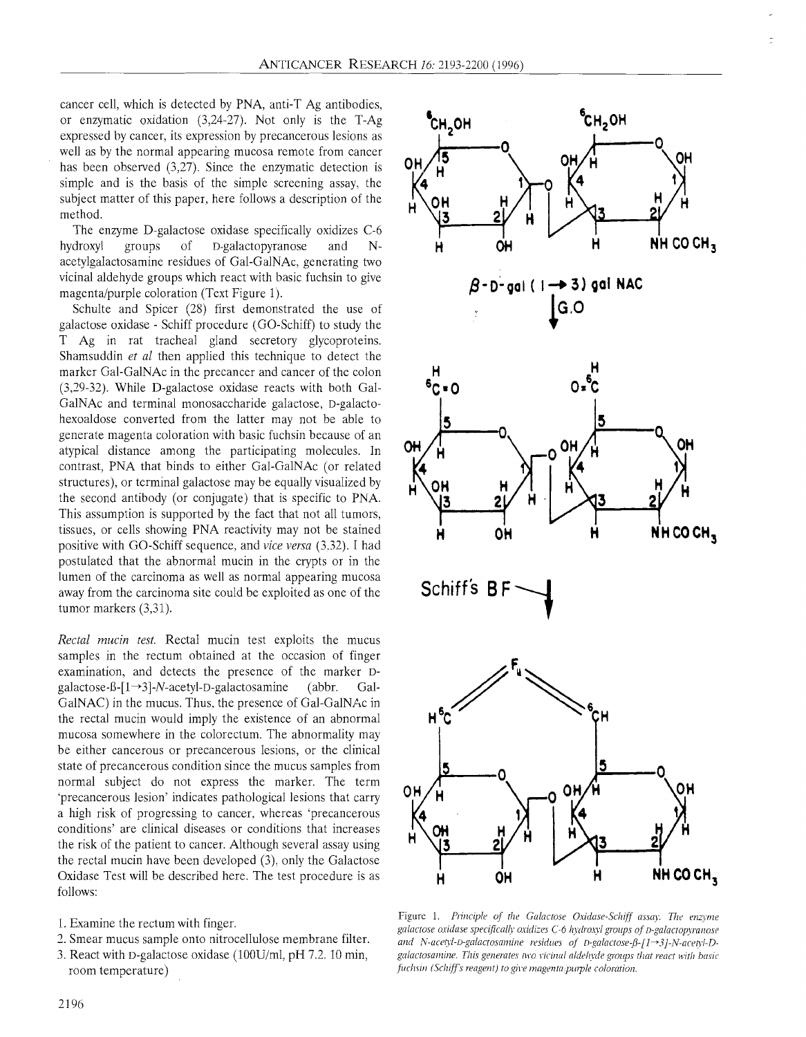cancer cell, which is detected by PNA, anti-T Ag antibodies, or enzymatic oxidation (3,24-27). Not only is the T-Ag expressed by cancer, its expression by precancerous lesions as well as by the normal appearing mucosa remote from cancer has been observed (3,27). Since the enzymatic detection is simple and is the basis of the simple screening assay, the subject matter of this paper, here follows a description of the method.

The enzyme D-galactose oxidase specifically oxidizes C-6<br>hydroxyl groups of D-galactopyranose and Nof D-galactopyranose and Nacetylgalactosamine residues of Gal-GalNAc, generating two vicinal aldehyde groups which react with basic fuchsin to give magenta/purple coloration (Text Figure 1).

Schulte and Spicer (28) first demonstrated the use of galactose oxidase - Schiff procedure (GO-Schiff) to study the T Ag in rat tracheal gland secretory glycoproteins. Shamsuddin *et a1* then applied this technique to detect the marker Gal-GalNAc in the precancer and cancer of the colon (3,332). While D-galactose oxidase reacts with both Gal-GalNAc and terminal monosaccharide galactose, D-galactohexoaldose converted from the latter may not be able to generate magenta coloration with basic fuchsin because of an atypical distance among the participating molecules. In contrast, PNA that binds to either Gal-GalNAc (or related structures), or terminal galactose may be equally visualized by the second antibody (or conjugate) that is specific to PNA. This assumption is supported by the fact that not all tumors, tissues, or cells showing PNA reactivity may not be stained positive with GO-Schiff sequence, and *vice versa* (3.32). *I* had postulated that the abnormal mucin in the crypts or in the lumen of the carcinoma as well as normal appearing mucosa away from the carcinoma site could be exploited as one of the tumor markers (3,31).

*Rectal mwin test.* Rectal mucin test exploits the mucus samples in the rectum obtained at the occasion of finger examination, and detects the presence of the marker Dgalactose- $\beta$ -[1-3]-N-acetyl-D-galactosamine (abbr. Gal-GalNAC) in the mucus. Thus, the presence of Gal-GalNAc in the rectal mucin would imply the existence of an abnormal mucosa somewhere in the colorectum. The abnormality may be either cancerous or precancerous lesions, or the clinical state of precancerous condition since the mucus samples from normal subject do not express the marker. The term 'precancerous lesion' indicates pathological lesions that carry a high risk of progressing to cancer, whereas 'precancerous conditions' are clinical diseases or conditions that increases the risk of the patient to cancer. Although several assay using the rectal mucin have been developed (3), only the Galactose Oxidase Test will be described here. The test procedure is as follows:

- 1. Examine the rectum with finger.
- 2. Smear mucus sample onto nitrocellulose membrane filter.
- 3. React with D-galactose oxidase (100U/ml, pH 7.2. 10 min, room temperature)



Figure 1. Principle of the Galactose Oxidase-Schiff assay. The enzyme galactose oxidase specifically oxidizes C-6 hydroxyl groups of *n-galactopyranose and N-acetyl-D-galactosamine residues of D-galactose-β-[1→3]-N-acetyl-D*galactosamine. This generates two vicinal aldehyde groups that react with basic  $f$ uchsin (Schiff's reagent) to give magenta/purple coloration.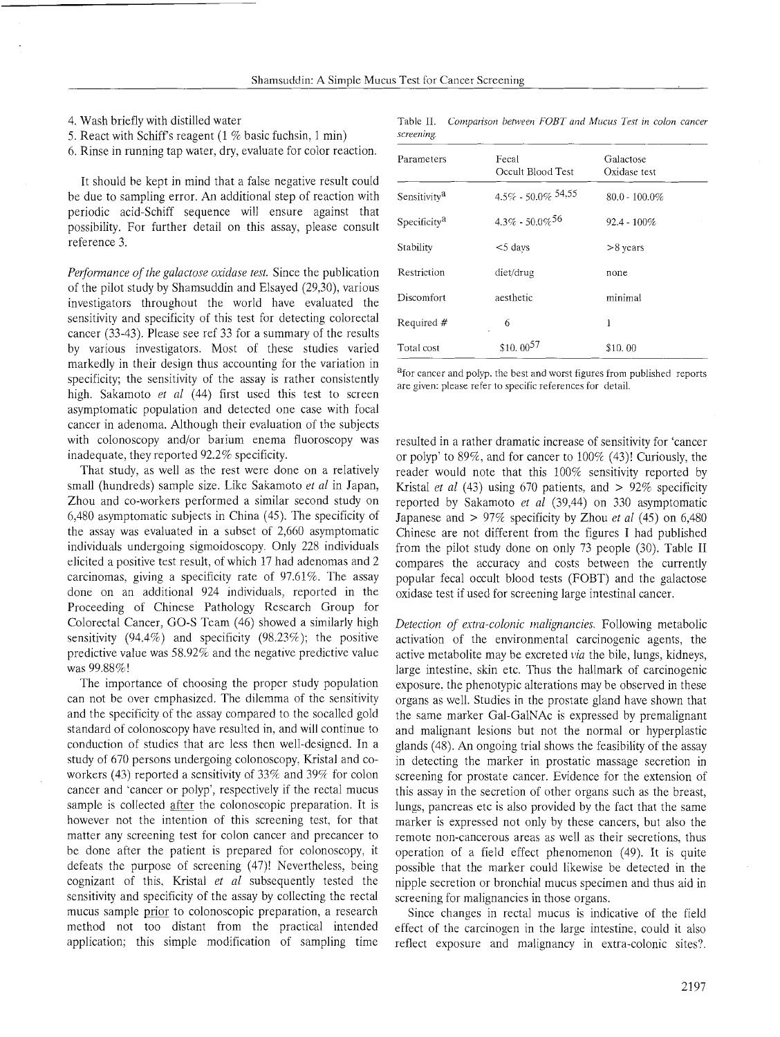4. Wash briefly with distilled water

5. React with Schiff's reagent (1 % basic fuchsin, 1 min)

*Performance of the galactose oxidase test.* Since the publication of the pilot study by Shamsuddin and Elsayed (29.30), various investigators throughout the world have evaluated the sensitivity and specificity of this test for detecting colorectal cancer (33-43). Please see ref 33 for a summary of the results by various investigators. Most of these studies varied markedly in their design thus accounting for the variation in specificity; the sensitivity of the assay is rather consistently high. Sakamoto *et nl* (44) first used this test to screen asymptomatic population and detected one case with focal cancer in adenoma. Although their evaluation of the subjects with colonoscopy and/or barium enema fluoroscopy was inadequate, they reported 92.2% specificity.

That study, as well as the rest were done on a relatively small (hundreds) sample size. Like Sakamoto *el nl* in Japan, Zhou and co-workers performed a similar second study on 6,480 asymptomatic subjects in China (45). The specificity of the assay was evaluated in a subset of 2,660 asymptomatic individuals undergoing sigmoidoscopy. Only 228 individuals elicited a positive test result, of which 17 had adenomas and 2 carcinomas, giving a specificity rate of 97.61%. The assay done on an additional 924 individuals, reported in the Proceeding of Chinese Pathology Research Group for Colorectal Cancer, GO-S Team (46) showed a similarly high sensitivity (94.4%) and specificity (98.23%); the positive predictive value was  $58.92\%$  and the negative predictive value was 99.88%!

The importance of choosing the proper study population can not be over emphasized. The dilemma of the sensitivity and the specificity of the assay compared to the socalled gold standard of colonoscopy have resulted in, and will continue to conduction of studies that are less then well-designed. In a study of 670 persons undergoing colonoscopy. Kristal and coworkers (43) reported a sensitivity of 33% and 39% for colon cancer and 'cancer or polyp', respectively if the rectal mucus sample is collected **after** the colonoscopic preparation. It is however not the intention of this screening test, for that matter any screening test for colon cancer and precancer to be done after the patient is prepared for colonoscopy, it defeats the purpose of screening (47)! Nevertheless, being cognizant of this, Kristal *et nl* subsequently tested the sensitivity and specificity of the assay by collecting the rectal mucus sample **prior** to colonoscopic preparation, a research method not too distant from the practical intended application; this simple modification of sampling time

|            | Table II. Comparison between FOBT and Mucus Test in colon cancer |  |  |  |  |
|------------|------------------------------------------------------------------|--|--|--|--|
| screening. |                                                                  |  |  |  |  |

| 6. Rinse in running tap water, dry, evaluate for color reaction.                                                                    | Fecal<br>Parameters<br>Occult Blood Test |                                | Galactose<br>Oxidase test |  |
|-------------------------------------------------------------------------------------------------------------------------------------|------------------------------------------|--------------------------------|---------------------------|--|
| It should be kept in mind that a false negative result could<br>be due to sampling error. An additional step of reaction with       | Sensitivity <sup>a</sup>                 | $4.5\%$ - 50.0% $54.55$        | $80.0 - 100.0\%$          |  |
| periodic acid-Schiff sequence will ensure against that<br>possibility. For further detail on this assay, please consult             | Specificity <sup>a</sup>                 | $4.3\% - 50.0\%$ <sup>56</sup> | $92.4 - 100\%$            |  |
| reference 3.                                                                                                                        | Stability                                | $<$ 5 days                     | $>8$ years                |  |
| <i>Performance of the galactose oxidase test.</i> Since the publication                                                             | Restriction                              | diet/drug                      | none                      |  |
| of the pilot study by Shamsuddin and Elsayed (29,30), various<br>investigators throughout the world have evaluated the              | Discomfort                               | aesthetic                      | minimal                   |  |
| sensitivity and specificity of this test for detecting colorectal<br>cancer (33-43). Please see ref 33 for a summary of the results | Required #                               | 6                              |                           |  |
| by various investigators. Most of these studies varied                                                                              | Total cost                               | $$10.00^{57}$                  | \$10.00                   |  |
| and the state of the state of the state of the state of the state of the state of the state of the state of th                      |                                          |                                |                           |  |

<sup>a</sup>for cancer and polyp. the best and worst figures from published reports are given: please refer to specific references for detail.

resulted in a rather dramatic increase of sensitivity for 'cancer or polyp' to  $89\%$ , and for cancer to  $100\%$  (43)! Curiously, the reader would note that this 100% sensitivity reported by Kristal *et nl* (43) using 670 patients, and > 92% specificity reported by Sakamoto *el nl* (39,44) on 330 asymptomatic Japanese and  $> 97\%$  specificity by Zhou *et al* (45) on 6,480 Chinese are not different from the figures I had published from the pilot study done on only 73 people (30). Table I1 compares the accuracy and costs between the currently popular fecal occult blood tests (FOBT) and the galactose oxidase test if used for screening large intestinal cancer.

*Detection of extra-colonic malignancies*. Following metabolic activation of the environmental carcinogenic agents, the active metabolite may be excreted *via* the bile, lungs, kidneys, large intestine, skin etc. Thus the hallmark of carcinogenic exposure. the phenotypic alterations may be observed in these organs as well. Studies in the prostate gland have shown that the same marker Gal-GalNAc is expressed by premalignant and malignant lesions but not the normal or hyperplastic glands (48). An ongoing trial shows the feasibility of the assay in detecting the marker in prostatic massage secretion in screening for prostate cancer. Evidence for the extension of this assay in the secretion of other organs such as the breast, lungs, pancreas etc is also provided by the fact that the same marker is expressed not only by these cancers, but also the remote non-cancerous areas as well as their secretions, thus operation of a field effect phenomenon (49). It is quite possible that the marker could likewise be detected in the nipple secretion or bronchial mucus specimen and thus aid in screening for malignancies in those organs.

Since changes in rectal mucus is indicative of the field effect of the carcinogen in the large intestine, could it also reflect exposure and malignancy in extra-colonic sites?.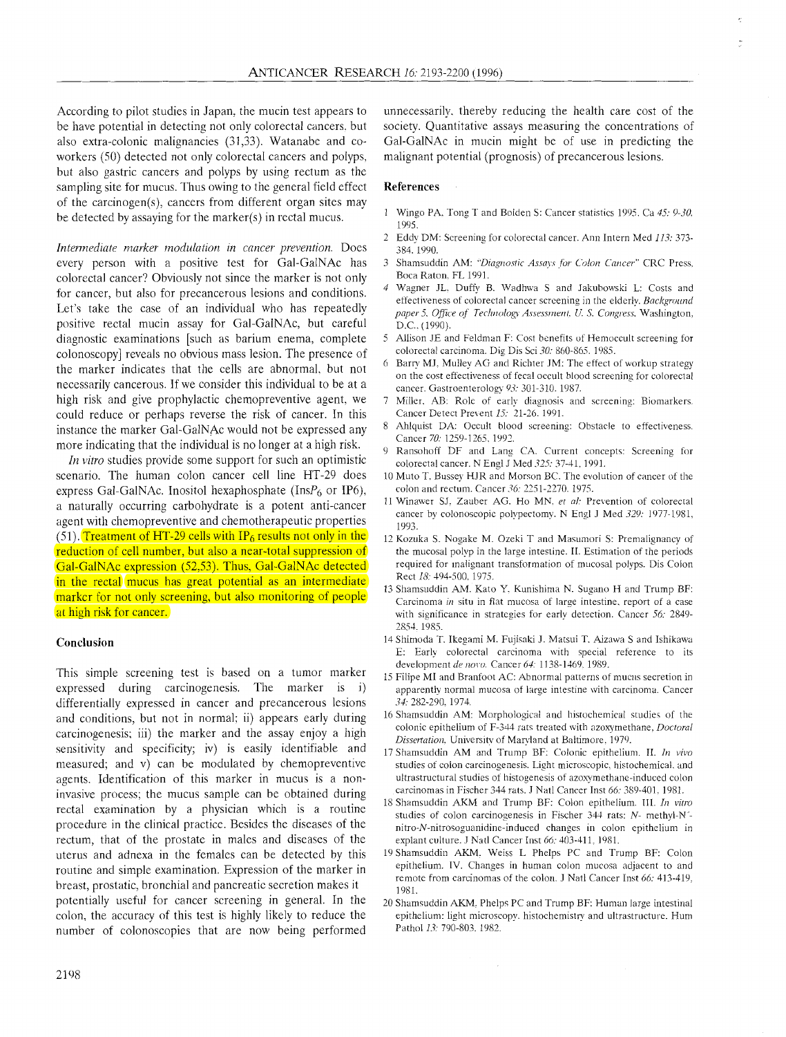According to pilot studies in Japan, the mucin test appears to be have potential in detecting not only colorectal cancers. but also extra-colonic malignancies (31,33). Watanabe and coworkers (50) detected not only colorectal cancers and polyps, but also gastric cancers and polyps by using rectum as the sampling site for mucus. Thus owing to the general field effect of the carcinogen(s), cancers from different organ sites may be detected by assaying for the marker(s) in rectal mucus.

*Intermediate marker modulation in cancer prevention.* Does every person with a positive test for Gal-GalNAc has colorectal cancer? Obviously not since the marker is not only for cancer, but also for precancerous lesions and conditions. Let's take the case of an individual who has repeatedly positive rectal mucin assay for Gal-GalNAc, but careful diagnostic examinations [such as barium enema, complete colonoscopy] reveals no obvious mass lesion. The presence of the marker indicates that the cells are abnormal. but not necessarily cancerous. If we consider this individual to be at a high risk and give prophylactic chemopreventive agent. we could reduce or perhaps reverse the risk of cancer. In this instance the marker Gal-GalNAc would not be expressed any more indicating that the individual is no longer at a high risk.

*In vitro* studies provide some support for such an optimistic scenario. The human colon cancer cell line HT-29 does express Gal-GalNAc. Inositol hexaphosphate (Ins $P_6$  or IP6), colon and rectum. Cancer 36: 2251-2270. 1975.<br>c. notwrelly equivalent approximate is a notational particular and very SJ. Zauber AG. Ho MN, et al: Prevention o a naturally occurring carbohydrate is a potent anti-cancer <sup>11</sup> Winawer SJ. Zauber AG. Ho MN, *et al.* Prevention of colorectal cancer by colonoscopic polypectomy. N Engl J Med 329: 1977-1981, example agent with chemopreventive and chemotherapeutic properties and <br>(51). Treatment of HT-29 cells with IP<sub>6</sub> results not only in the 12 Kozu reduction of cell number, but also a near-total suppression of Gal-GalNAc expression (52,53). Thus, Gal-GalNAc detected in the rectal mucus has great potential as an intermediate markcr for not only screening, but also monitoring of people at high risk for cancer.

## **Conclusion**

This simple screening test is based on a tumor marker expressed during carcinogenesis. The marker is i) differentially expressed in cancer and precancerous lesions and conditions, but not in normal: ii) appears early during carcinogenesis; iii) the marker and the assay enjoy a high sensitivity and specificity; iv) is easily identifiable and measured; and v) can be modulated by chemopreventive agents. Identification of this marker in mucus is a noninvasive process; the mucus sample can be obtained during carcinomas in Fischer 344 rats. J Natl Cancer Inst 66: 389-401, 1981.<br>
rectal examination by a physician which is a routine 18 Shamsuddin AKM and Trump BF: Colon ep procedure in the clinical practice. Besides the diseases of the studies of colon carcinogenesis in Fischer 344 rats: N- methyl-N-<br>procedure in the clinical practice. Besides the diseases of the prito-N-nitrosoguanidine-ind rectum, that of the prostate in males and diseases of the explant culture. J Natl Cancer Inst 66: 403-411, 1981.<br>
uterus and adnexa in the females can be detected by this 19 Shamsuddin AKM. Weiss L Phelps PC and Trump BF: uterus and adnexa in the females can be detected by this 19 Shamsuddin AKM. Weiss L Phelps PC and Trump BF: Colon<br>epithelium. IV. Changes in human colon mucosa adjacent to and<br>epithelium. IV. Changes in human colon mucosa routine and simple examination. Expression of the marker in epithelium. IV. Changes in human colon mucosa adjacent to and<br>remote from carcinomas of the colon. J Natl Cancer Inst 66: 413-419, breast, prostatic, bronchial and pancreatic secretion makes it

colon, the accuracy of this test is highly likely to reduce the epithelium: light microscopy.<br>
pumber of colonoscopies that are now being performed Pathol 13: 790-803, 1982. number of colonoscopies that are now being performed

unnecessarily. thereby reducing the health care cost of the society. Quantitative assays measuring the concentrations of Gal-GalNAc in mucin might be of use in predicting the malignant potential (prognosis) of precancerous lesions.

## **References**

- 1 Wingo PA. Tong T and Bolden S: Cancer statistics 1995. Ca 45: 9-30. 1995.
- 2 Eddy DM: Screening for colorectal cancer. Ann Intern Med 113: 373- 384. 1990.
- 3 Shamsuddin AM: "Diagnostic Assays for Colon Cancer" CRC Press, Boca Raton. FL 1991.
- Wagner JL. Duffy B. Wadhwa S and Jakubowski L: Costs and effectiveness of colorectal cancer screening in the elderly. *Background* paper 5, Office of *Technology Assessment*, U. S. Congress, Washington, D.C.. (1990).
- 5 Allison JE and Feldman F: Cost benefits of Hemoccult screening for colorectal carcinoma. Dig Dis Sci 30: 860-S65. 1985.
- 6 Barn; MJ. Mulley AG and Richter JM: The effect of workup strategy on the cost effectiveness of fecal occult blood screening for colorectal cancer. Gastroenterology 93: 301-310. 1987.
- 7 Miller. AB: Role of early diagnosis and screening: Biomarkers. Cancer Detect Prevent 15: 21-26. 1991.
- Ahlquist DA: Occult blood screening: Obstacle to effectiveness. Cancer 70: 1259-1265, 1992.
- Ransohoff DF and Lang CA. Current concepts: Screening for colorectal cancer. N Enpl J bled *323:* 37-41. 1991.
- 10 Muto T. Bussey HJR and Morson BC. The evolution of cancer of the colon and rectum. Cancer 36: 2251-2270. 1975.
- 
- 12 Kozuka S. Nogake M. Ozeki T and Masumori S: Premalignancy of the mucosal polyp in the 1arge intestine. II. Estimation of the periods required for malignant transformation of mucosal polyps. Dis Colon Rect IS: 494-500. 1975.
- 13 Shamsuddin AM. Kato Y. Kunishima N. Sugano H and Trump BF: Carcinoma *in* situ in flat mucosa of large intestine, report of a case with significance in strategies for early detection. Cancer 56: 2849-2854.1985.
- 14 Shimoda T. Ikegami M. Fujisaki J. Matsui T. Aizawa S and Ishikawa E: Early colorectal carcinoma with special reference to its development *de novo*. Cancer 64: 1138-1469, 1989.
- 15 Filipe MI and Branfoot AC: Abnormal patterns of mucus secretion in apparently normal mucosa of large intestine with carcinoma. Cancer **31:** 282-290. 1974.
- 16 Shamsuddin AM: Morphological and histochemical studie5 of the colonic epithelium of F-344 rats treated with azoxymethane, *Doctoral Dissertation*, University of Maryland at Baltimore. 1979.
- 17 Shamsuddin AM and Trump BF: Colonic epithelium. II. *In vivo* studies of colon carcinogenesis. Light microscopic; histochemical. and ultrastructural studies of histogenesis of azoxymethane-induced colon carcinomas in Fischer 344 rats. J Natl Cancer Inst 66: 389-401, 1981.
- 
- 1981.
- potentially useful for cancer screening in general. In the 20 Shamsuddin AKM, Phelps PC and Trump BF: Human large intestinal colon, the accuracy of this test is highly likely to reduce the epithelium: light microscopy, his